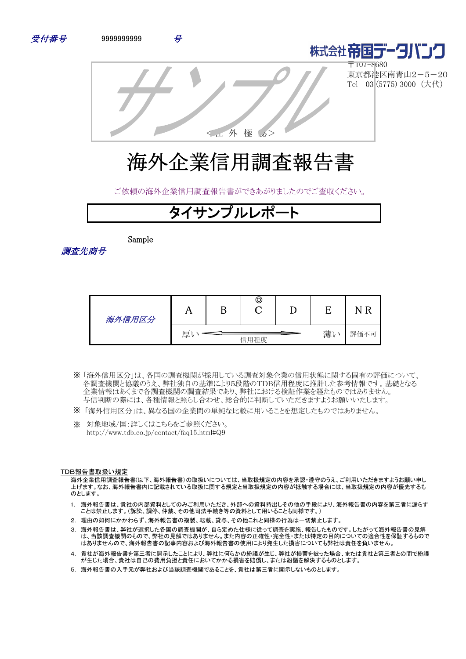





〒107-8680 東京都港区南青山2-5-20 Tel 03 (5775) 3000 (大代)

<社 外 極 秘>

# 海外企業信用調査報告書

ご依頼の海外企業信用調査報告書ができあがりましたのでご査収ください。

## タイサンプルレポ

Sample

調査先商号

| 海外信用区分 | . .            |  | © |  |  |      |
|--------|----------------|--|---|--|--|------|
|        | 薄<br>厚<br>信用程度 |  |   |  |  | 評価不可 |

- 「海外信用区分」は、各国の調査機関が採用している調査対象企業の信用状態に関する固有の評価について、 ※ 各調査機関と協議のうえ、弊社独自の基準により5段階のTDB信用程度に推計した参考情報です。基礎となる 企業情報はあくまで各調査機関の調査結果であり、弊社における検証作業を経たものではありません。 与信判断の際には、各種情報と照らし合わせ、総合的に判断していただきますようお願いいたします。
- ※ 「海外信用区分」は、異なる国の企業間の単純な比較に用いることを想定したものではありません。
- ※ 対象地域/国:詳しくはこちらをご参照ください。 http://www.tdb.co.jp/contact/faq15.html#Q9

#### TDB報告書取扱い規定

海外企業信用調査報告書(以下、海外報告書)の取扱いについては、当取扱規定の内容を承認・遵守のうえ、ご利用いただきますようお願い申し 上げます。なお、海外報告書内に記載されている取扱に関する規定と当取扱規定の内容が抵触する場合には、当取扱規定の内容が優先するも のとします。

- 1. 海外報告書は、貴社の内部資料としてのみご利用いただき、外部への資料持出しその他の手段により、海外報告書の内容を第三者に漏らす ことは禁止します。(訴訟、調停、仲裁、その他司法手続き等の資料として用いることも同様です。)
- 2. 理由の如何にかかわらず、海外報告書の複製、転載、貸与、その他これと同様の行為は一切禁止します。
- 3. 海外報告書は、弊社が選択した各国の調査機関が、自ら定めた仕様に従って調査を実施、報告したものです。したがって海外報告書の見解 は、当該調査機関のもので、弊社の見解ではありません。また内容の正確性・完全性・または特定の目的についての適合性を保証するもので はありませんので、海外報告書の記事内容および海外報告書の使用により発生した損害についても弊社は責任を負いません。
- 4. 貴社が海外報告書を第三者に開示したことにより、弊社に何らかの紛議が生じ、弊社が損害を被った場合、または貴社と第三者との間で紛議 が生じた場合、貴社は自己の費用負担と責任においてかかる損害を賠償し、または紛議を解決するものとします。
- 5. 海外報告書の入手元が弊社および当該調査機関であることを、貴社は第三者に開示しないものとします。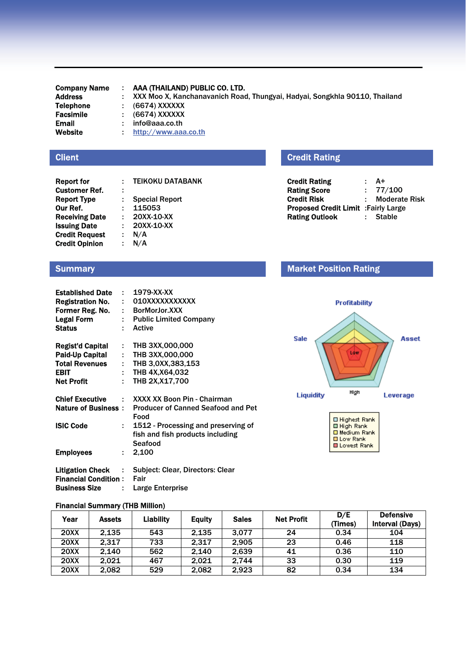Email : info@aaa.co.th<br>Website : http://www.aaa

Company Name : AAA (THAILAND) PUBLIC CO. LTD.

Address : XXX Moo X, Kanchanavanich Road, Thungyai, Hadyai, Songkhla 90110, Thailand Telephone : (6674) XXXXXX : (6674) XXXXXX Facsimile : (6674) XXXXXX

: http://www.aaa.co.th

#### **Client**

| <b>Report for</b>     |   | <b>TEIKOKU DATABANK</b> |
|-----------------------|---|-------------------------|
| <b>Customer Ref.</b>  | ÷ |                         |
| <b>Report Type</b>    |   | <b>Special Report</b>   |
| Our Ref.              | ÷ | 115053                  |
| <b>Receiving Date</b> | ÷ | 20XX-10-XX              |
| <b>Issuing Date</b>   |   | 20XX-10-XX              |
| <b>Credit Request</b> | ÷ | N/A                     |
| <b>Credit Opinion</b> |   | N/A                     |

## Credit Rating

| <b>Credit Rating</b>                 | ٠ | A+                   |
|--------------------------------------|---|----------------------|
| <b>Rating Score</b>                  |   | : 77/100             |
| Credit Risk                          |   | <b>Moderate Risk</b> |
| Proposed Credit Limit : Fairly Large |   |                      |
| <b>Rating Outlook</b>                |   | <b>Stable</b>        |

#### **Summary**

| <b>Established Date</b>     |    | $: 1979-XX-XX$                                       |
|-----------------------------|----|------------------------------------------------------|
| <b>Registration No.</b>     | t. | 010XXXXXXXXXXX                                       |
| Former Reg. No.             |    | $:$ BorMorJor. $XXX$                                 |
| <b>Legal Form</b>           |    | : Public Limited Company                             |
| <b>Status</b>               | ÷  | Active                                               |
|                             |    |                                                      |
| Regist'd Capital            |    | $:$ THB 3XX,000,000                                  |
| Paid-Up Capital             |    | $:$ THB 3XX,000,000                                  |
| <b>Total Revenues</b>       |    | : THB $3,0XX,383,153$                                |
| <b>EBIT</b>                 | ÷  | THB 4X, X64, 032                                     |
| <b>Net Profit</b>           | ÷  | THB 2X, X17, 700                                     |
|                             |    |                                                      |
|                             |    | <b>Chief Executive : XXXX XX Boon Pin - Chairman</b> |
| <b>Nature of Business :</b> |    | <b>Producer of Canned Seafood and Pet</b>            |
|                             |    | Food                                                 |
| <b>ISIC Code</b>            | t. | 1512 - Processing and preserving of                  |
|                             |    | fish and fish products including                     |
|                             |    | Seafood                                              |
| <b>Employees</b>            | ÷  | 2,100                                                |
|                             |    |                                                      |
|                             |    | Litigation Check : Subject: Clear, Directors: Clear  |
| <b>Financial Condition:</b> |    | Fair                                                 |
| <b>Business Size</b>        | t. | Large Enterprise                                     |
|                             |    |                                                      |

## Market Position Rating



**O Low Rank** □ Lowest Rank

| <b>Financial Summary (THB Million)</b> |  |  |
|----------------------------------------|--|--|
|                                        |  |  |

| Year        | <b>Assets</b> | <b>Liability</b> | <b>Equity</b> | <b>Sales</b> | <b>Net Profit</b> | D/E<br>(Times) | <b>Defensive</b><br><b>Interval (Days)</b> |
|-------------|---------------|------------------|---------------|--------------|-------------------|----------------|--------------------------------------------|
| <b>20XX</b> | 2.135         | 543              | 2.135         | 3.077        | 24                | 0.34           | 104                                        |
| <b>20XX</b> | 2.317         | 733              | 2.317         | 2.905        | 23                | 0.46           | 118                                        |
| <b>20XX</b> | 2.140         | 562              | 2.140         | 2.639        | 41                | 0.36           | 110                                        |
| <b>20XX</b> | 2.021         | 467              | 2.021         | 2.744        | 33                | 0.30           | 119                                        |
| <b>20XX</b> | 2.082         | 529              | 2.082         | 2.923        | 82                | 0.34           | 134                                        |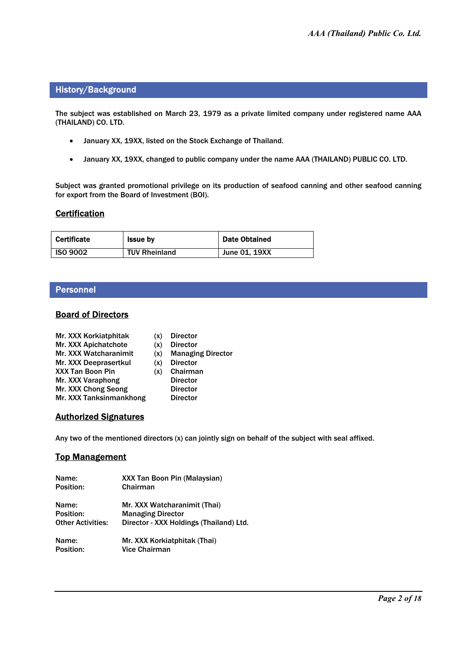#### History/Background

The subject was established on March 23, 1979 as a private limited company under registered name AAA (THAILAND) CO. LTD.

- January XX, 19XX, listed on the Stock Exchange of Thailand.
- $\bullet$ January XX, 19XX, changed to public company under the name AAA (THAILAND) PUBLIC CO. LTD.

Subject was granted promotional privilege on its production of seafood canning and other seafood canning for export from the Board of Investment (BOI).

#### **Certification**

| <b>Certificate</b> | <b>Issue by</b>      | <b>Date Obtained</b> |
|--------------------|----------------------|----------------------|
| <b>ISO 9002</b>    | <b>TUV Rheinland</b> | <b>June 01, 19XX</b> |

#### Personnel

#### **Board of Directors**

| Mr. XXX Korkiatphitak       | (x) | <b>Director</b>          |
|-----------------------------|-----|--------------------------|
| <b>Mr. XXX Apichatchote</b> | (x) | <b>Director</b>          |
| Mr. XXX Watcharanimit       | (x) | <b>Managing Director</b> |
| Mr. XXX Deeprasertkul       | (x) | <b>Director</b>          |
| <b>XXX Tan Boon Pin</b>     | (x) | Chairman                 |
| Mr. XXX Varaphong           |     | <b>Director</b>          |
| Mr. XXX Chong Seong         |     | <b>Director</b>          |
| Mr. XXX Tanksinmankhong     |     | <b>Director</b>          |

#### Authorized Signatures

Any two of the mentioned directors (x) can jointly sign on behalf of the subject with seal affixed.

#### **Top Management**

| Name:                    | <b>XXX Tan Boon Pin (Malaysian)</b>     |
|--------------------------|-----------------------------------------|
| Position:                | Chairman                                |
| Name:                    | Mr. XXX Watcharanimit (Thai)            |
| Position:                | <b>Managing Director</b>                |
| <b>Other Activities:</b> | Director - XXX Holdings (Thailand) Ltd. |
| Name:                    | Mr. XXX Korkiatphitak (Thai)            |
| Position:                | <b>Vice Chairman</b>                    |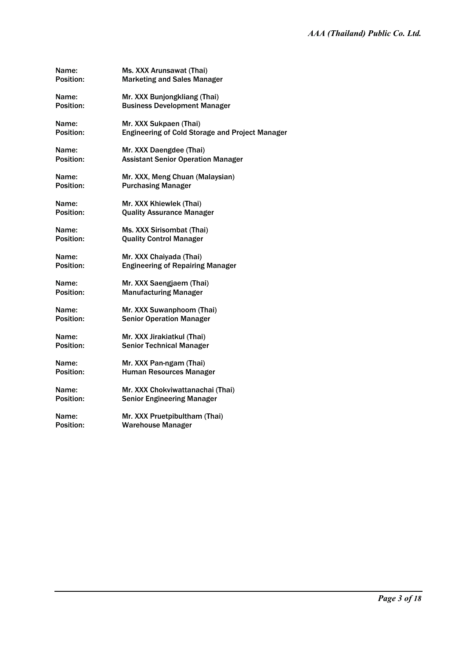| Name:        | Ms. XXX Arunsawat (Thai)                               |
|--------------|--------------------------------------------------------|
| Position:    | <b>Marketing and Sales Manager</b>                     |
| Name:        | Mr. XXX Bunjongkliang (Thai)                           |
| Position:    | <b>Business Development Manager</b>                    |
| Name:        | Mr. XXX Sukpaen (Thai)                                 |
| Position:    | <b>Engineering of Cold Storage and Project Manager</b> |
| Name:        | Mr. XXX Daengdee (Thai)                                |
| Position:    | <b>Assistant Senior Operation Manager</b>              |
| <b>Name:</b> | Mr. XXX, Meng Chuan (Malaysian)                        |
| Position:    | <b>Purchasing Manager</b>                              |
| Name:        | Mr. XXX Khiewlek (Thai)                                |
| Position:    | <b>Quality Assurance Manager</b>                       |
| Name:        | Ms. XXX Sirisombat (Thai)                              |
| Position:    | <b>Quality Control Manager</b>                         |
| Name:        | Mr. XXX Chaiyada (Thai)                                |
| Position:    | <b>Engineering of Repairing Manager</b>                |
| Name:        | Mr. XXX Saengjaem (Thai)                               |
| Position:    | <b>Manufacturing Manager</b>                           |
| Name:        | Mr. XXX Suwanphoom (Thai)                              |
| Position:    | <b>Senior Operation Manager</b>                        |
| Name:        | Mr. XXX Jirakiatkul (Thai)                             |
| Position:    | <b>Senior Technical Manager</b>                        |
| Name:        | Mr. XXX Pan-ngam (Thai)                                |
| Position:    | Human Resources Manager                                |
| Name:        | Mr. XXX Chokviwattanachai (Thai)                       |
| Position:    | <b>Senior Engineering Manager</b>                      |
| Name:        | Mr. XXX Pruetpibultham (Thai)                          |
| Position:    | <b>Warehouse Manager</b>                               |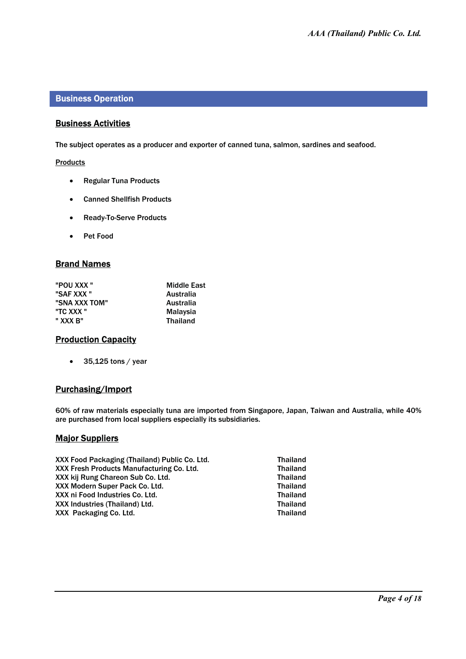#### Business Operation

#### Business Activities

The subject operates as a producer and exporter of canned tuna, salmon, sardines and seafood.

Products

- Regular Tuna Products
- Canned Shellfish Products
- Ready-To-Serve Products
- Pet Food

#### Brand Names

| "POU XXX"     | <b>Middle East</b> |
|---------------|--------------------|
| "SAF XXX"     | Australia          |
| "SNA XXX TOM" | Australia          |
| "TC XXX "     | Malaysia           |
| " XXX B"      | <b>Thailand</b>    |

#### **Production Capacity**

- 35,125 tons / year

#### Purchasing/Import

60% of raw materials especially tuna are imported from Singapore, Japan, Taiwan and Australia, while 40% are purchased from local suppliers especially its subsidiaries.

#### **Major Suppliers**

XXX Food Packaging (Thailand) Public Co. Ltd. Thailand<br>XXX Fresh Products Manufacturing Co. Ltd. Thailand XXX Fresh Products Manufacturing Co. Ltd. Thailand<br>XXX kii Rung Chareon Sub Co. Ltd. Thailand XXX kij Rung Chareon Sub Co. Ltd. Thailand<br>XXX Modern Super Pack Co. Ltd. Thailand XXX Modern Super Pack Co. Ltd. Thailand<br>XXX ni Food Industries Co. Ltd. Thailand XXX ni Food Industries Co. Ltd. Thailand VXX ni Food Industries Co. Ltd. Thailand XXX Industries (Thailand) Ltd. Thailand SXX Industries (Thailand Co. 1 td. Thailand Co. 1 td. Thailand XXX Packaging Co. Ltd.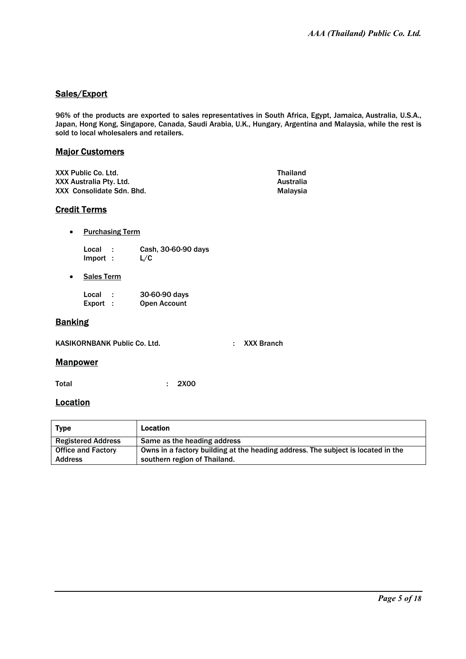## Sales/Export

96% of the products are exported to sales representatives in South Africa, Egypt, Jamaica, Australia, U.S.A., Japan, Hong Kong, Singapore, Canada, Saudi Arabia, U.K., Hungary, Argentina and Malaysia, while the rest is sold to local wholesalers and retailers.

#### Major Customers

| XXX Public Co. Ltd.       | <b>Thailand</b> |
|---------------------------|-----------------|
| XXX Australia Pty. Ltd.   | Australia       |
| XXX Consolidate Sdn. Bhd. | Malavsia        |

#### Credit Terms

- Purchasing Term
	- Local : Cash, 30-60-90 days<br>Import : L/C Import :
- Sales Term

| Local  | 30-60-90 days       |  |
|--------|---------------------|--|
| Export | <b>Open Account</b> |  |

#### Banking

KASIKORNBANK Public Co. Ltd. . . . . . . . . . . . . XXX Branch

#### **Manpower**

Total : 2X00

#### **Location**

| Type                      | <b>Location</b>                                                                  |
|---------------------------|----------------------------------------------------------------------------------|
| <b>Registered Address</b> | Same as the heading address                                                      |
| <b>Office and Factory</b> | Owns in a factory building at the heading address. The subject is located in the |
| <b>Address</b>            | southern region of Thailand.                                                     |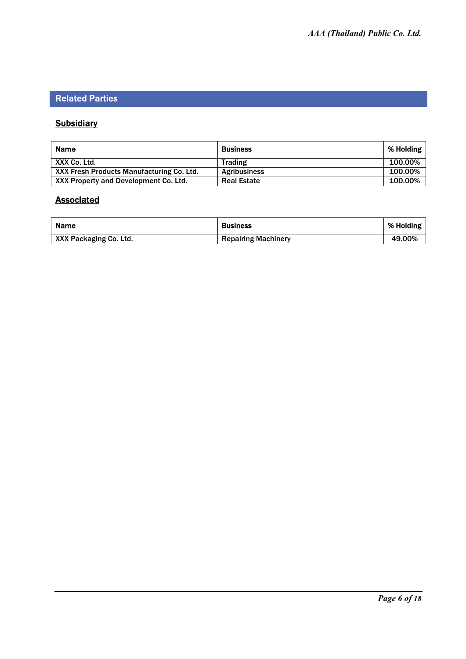## Related Parties

## **Subsidiary**

| <b>Name</b>                               | <b>Business</b>     | % Holding |
|-------------------------------------------|---------------------|-----------|
| XXX Co. Ltd.                              | <b>Trading</b>      | 100.00%   |
| XXX Fresh Products Manufacturing Co. Ltd. | <b>Agribusiness</b> | 100.00%   |
| XXX Property and Development Co. Ltd.     | <b>Real Estate</b>  | 100.00%   |

## **Associated**

| <b>Name</b>            | <b>Business</b>            | % Holding |
|------------------------|----------------------------|-----------|
| XXX Packaging Co. Ltd. | <b>Repairing Machinery</b> | 49.00%    |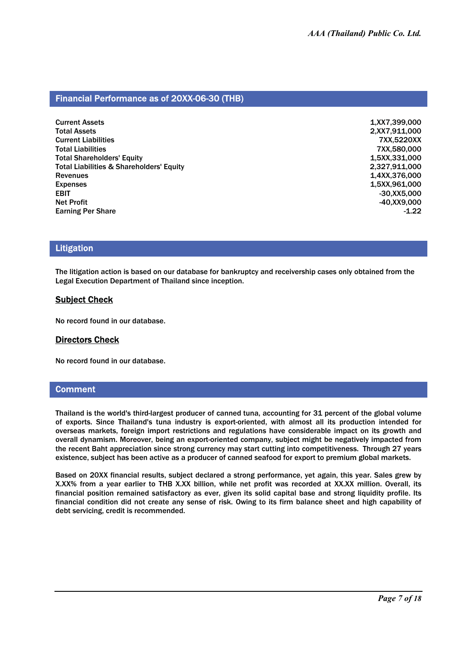#### Financial Performance as of 20XX-06-30 (THB)

| 1,XX7,399,000<br>2,XX7,911,000 |
|--------------------------------|
|                                |
|                                |
| 7XX,5220XX                     |
| 7XX,580,000                    |
| 1,5XX,331,000                  |
| 2,327,911,000                  |
| 1,4XX,376,000                  |
| 1,5XX,961,000                  |
| $-30,$ XX5,000                 |
| $-40,$ XX9,000                 |
| $-1.22$                        |
|                                |

#### Litigation

The litigation action is based on our database for bankruptcy and receivership cases only obtained from the Legal Execution Department of Thailand since inception.

#### Subject Check

No record found in our database.

#### Directors Check

No record found in our database.

#### **Comment**

Thailand is the world's third-largest producer of canned tuna, accounting for 31 percent of the global volume of exports. Since Thailand's tuna industry is export-oriented, with almost all its production intended for overseas markets, foreign import restrictions and regulations have considerable impact on its growth and overall dynamism. Moreover, being an export-oriented company, subject might be negatively impacted from the recent Baht appreciation since strong currency may start cutting into competitiveness. Through 27 years existence, subject has been active as a producer of canned seafood for export to premium global markets.

Based on 20XX financial results, subject declared a strong performance, yet again, this year. Sales grew by X.XX% from a year earlier to THB X.XX billion, while net profit was recorded at XX.XX million. Overall, its financial position remained satisfactory as ever, given its solid capital base and strong liquidity profile. Its financial condition did not create any sense of risk. Owing to its firm balance sheet and high capability of debt servicing, credit is recommended.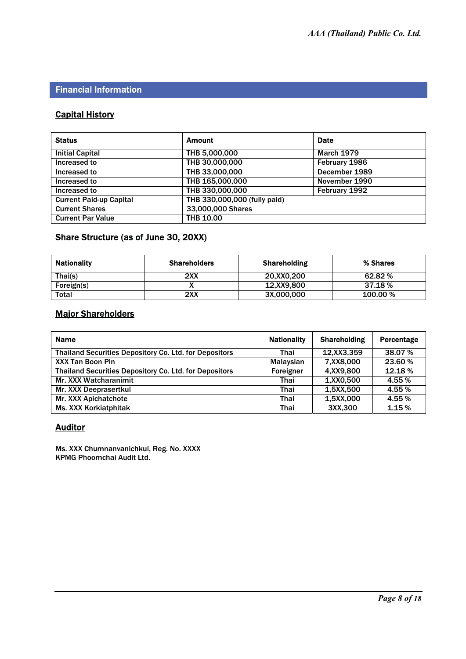## Financial Information

## Capital History

| <b>Status</b>                  | <b>Amount</b>                | <b>Date</b>       |
|--------------------------------|------------------------------|-------------------|
| <b>Initial Capital</b>         | THB 5,000,000                | <b>March 1979</b> |
| Increased to                   | THB 30,000,000               | February 1986     |
| Increased to                   | THB 33,000,000               | December 1989     |
| Increased to                   | THB 165,000,000              | November 1990     |
| Increased to                   | THB 330,000,000              | February 1992     |
| <b>Current Paid-up Capital</b> | THB 330,000,000 (fully paid) |                   |
| <b>Current Shares</b>          | 33,000,000 Shares            |                   |
| <b>Current Par Value</b>       | <b>THB 10.00</b>             |                   |

## Share Structure (as of June 30, 20XX)

| <b>Nationality</b> | <b>Shareholders</b> | <b>Shareholding</b> | % Shares |
|--------------------|---------------------|---------------------|----------|
| Thai(s)            | 2XX                 | 20.XX0.200          | 62.82 %  |
| Foreign(s)         |                     | 12.XX9.800          | 37.18 %  |
| Total              | 2XX                 | 3X,000,000          | 100.00 % |

## Major Shareholders

| <b>Name</b>                                                   | <b>Nationality</b> | <b>Shareholding</b> | Percentage |
|---------------------------------------------------------------|--------------------|---------------------|------------|
| <b>Thailand Securities Depository Co. Ltd. for Depositors</b> | Thai               | 12, XX3, 359        | 38.07%     |
| <b>XXX Tan Boon Pin</b>                                       | Malaysian          | 7,XX8,000           | 23.60 %    |
| <b>Thailand Securities Depository Co. Ltd. for Depositors</b> | Foreigner          | 4, XX9, 800         | 12.18%     |
| Mr. XXX Watcharanimit                                         | Thai               | 1, XX0, 500         | 4.55%      |
| Mr. XXX Deeprasertkul                                         | Thai               | 1,5XX,500           | 4.55%      |
| Mr. XXX Apichatchote                                          | Thai               | 1,5XX,000           | 4.55 %     |
| <b>Ms. XXX Korkiatphitak</b>                                  | <b>Thai</b>        | 3XX,300             | 1.15 %     |

## **Auditor**

Ms. XXX Chumnanvanichkul, Reg. No. XXXX KPMG Phoomchai Audit Ltd.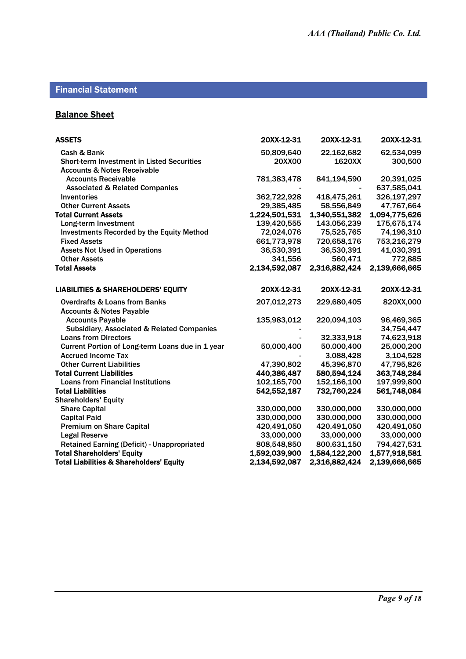## Financial Statement

## **Balance Sheet**

| <b>ASSETS</b>                                         | 20XX-12-31    | 20XX-12-31    | 20XX-12-31    |
|-------------------------------------------------------|---------------|---------------|---------------|
| Cash & Bank                                           | 50,809,640    | 22,162,682    | 62,534,099    |
| <b>Short-term Investment in Listed Securities</b>     | <b>20XX00</b> | 1620XX        | 300,500       |
| <b>Accounts &amp; Notes Receivable</b>                |               |               |               |
| <b>Accounts Receivable</b>                            | 781,383,478   | 841,194,590   | 20,391,025    |
| <b>Associated &amp; Related Companies</b>             |               |               | 637,585,041   |
| <b>Inventories</b>                                    | 362,722,928   | 418,475,261   | 326,197,297   |
| <b>Other Current Assets</b>                           | 29,385,485    | 58,556,849    | 47,767,664    |
| <b>Total Current Assets</b>                           | 1,224,501,531 | 1,340,551,382 | 1,094,775,626 |
| Long-term Investment                                  | 139,420,555   | 143,056,239   | 175,675,174   |
| <b>Investments Recorded by the Equity Method</b>      | 72,024,076    | 75,525,765    | 74,196,310    |
| <b>Fixed Assets</b>                                   | 661,773,978   | 720,658,176   | 753,216,279   |
| <b>Assets Not Used in Operations</b>                  | 36,530,391    | 36,530,391    | 41,030,391    |
| <b>Other Assets</b>                                   | 341,556       | 560,471       | 772,885       |
| <b>Total Assets</b>                                   | 2,134,592,087 | 2,316,882,424 | 2,139,666,665 |
| <b>LIABILITIES &amp; SHAREHOLDERS' EQUITY</b>         | 20XX-12-31    | 20XX-12-31    | 20XX-12-31    |
| <b>Overdrafts &amp; Loans from Banks</b>              | 207,012,273   | 229,680,405   | 820XX,000     |
| <b>Accounts &amp; Notes Payable</b>                   |               |               |               |
| <b>Accounts Payable</b>                               | 135,983,012   | 220,094,103   | 96,469,365    |
| <b>Subsidiary, Associated &amp; Related Companies</b> |               |               | 34,754,447    |
| <b>Loans from Directors</b>                           |               | 32,333,918    | 74,623,918    |
| Current Portion of Long-term Loans due in 1 year      | 50,000,400    | 50,000,400    | 25,000,200    |
| <b>Accrued Income Tax</b>                             |               | 3,088,428     | 3,104,528     |
| <b>Other Current Liabilities</b>                      | 47,390,802    | 45,396,870    | 47,795,826    |
| <b>Total Current Liabilities</b>                      | 440,386,487   | 580,594,124   | 363,748,284   |
| <b>Loans from Financial Institutions</b>              | 102,165,700   | 152,166,100   | 197,999,800   |
| <b>Total Liabilities</b>                              | 542,552,187   | 732,760,224   | 561,748,084   |
| <b>Shareholders' Equity</b>                           |               |               |               |
| <b>Share Capital</b>                                  | 330,000,000   | 330,000,000   | 330,000,000   |
| <b>Capital Paid</b>                                   | 330,000,000   | 330,000,000   | 330,000,000   |
| <b>Premium on Share Capital</b>                       | 420,491,050   | 420,491,050   | 420,491,050   |
| <b>Legal Reserve</b>                                  | 33,000,000    | 33,000,000    | 33,000,000    |
| <b>Retained Earning (Deficit) - Unappropriated</b>    | 808,548,850   | 800,631,150   | 794,427,531   |
| <b>Total Shareholders' Equity</b>                     | 1,592,039,900 | 1,584,122,200 | 1,577,918,581 |
| <b>Total Liabilities &amp; Shareholders' Equity</b>   | 2,134,592,087 | 2,316,882,424 | 2,139,666,665 |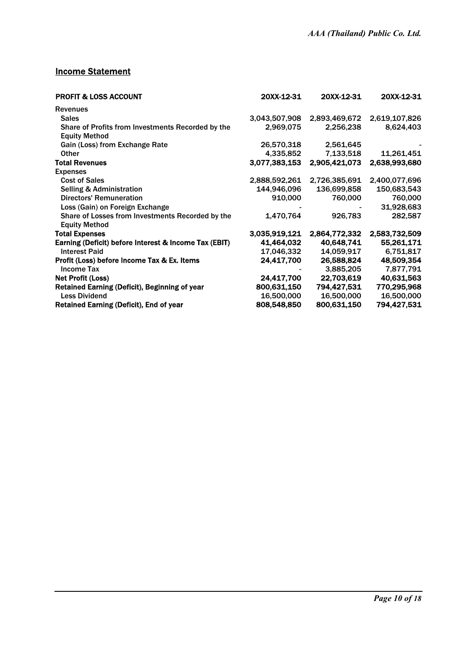## **Income Statement**

| <b>PROFIT &amp; LOSS ACCOUNT</b>                                          | 20XX-12-31    | 20XX-12-31    | 20XX-12-31    |
|---------------------------------------------------------------------------|---------------|---------------|---------------|
| <b>Revenues</b>                                                           |               |               |               |
| <b>Sales</b>                                                              | 3,043,507,908 | 2,893,469,672 | 2,619,107,826 |
| Share of Profits from Investments Recorded by the<br><b>Equity Method</b> | 2,969,075     | 2,256,238     | 8,624,403     |
| Gain (Loss) from Exchange Rate                                            | 26,570,318    | 2,561,645     |               |
| Other                                                                     | 4,335,852     | 7,133,518     | 11,261,451    |
| <b>Total Revenues</b>                                                     | 3,077,383,153 | 2,905,421,073 | 2,638,993,680 |
| <b>Expenses</b>                                                           |               |               |               |
| <b>Cost of Sales</b>                                                      | 2,888,592,261 | 2,726,385,691 | 2,400,077,696 |
| <b>Selling &amp; Administration</b>                                       | 144,946,096   | 136,699,858   | 150,683,543   |
| <b>Directors' Remuneration</b>                                            | 910,000       | 760,000       | 760,000       |
| Loss (Gain) on Foreign Exchange                                           |               |               | 31,928,683    |
| Share of Losses from Investments Recorded by the<br><b>Equity Method</b>  | 1,470,764     | 926,783       | 282,587       |
| <b>Total Expenses</b>                                                     | 3,035,919,121 | 2,864,772,332 | 2,583,732,509 |
| Earning (Deficit) before Interest & Income Tax (EBIT)                     | 41,464,032    | 40,648,741    | 55,261,171    |
| <b>Interest Paid</b>                                                      | 17,046,332    | 14,059,917    | 6,751,817     |
| Profit (Loss) before Income Tax & Ex. Items                               | 24,417,700    | 26,588,824    | 48,509,354    |
| <b>Income Tax</b>                                                         |               | 3,885,205     | 7,877,791     |
| <b>Net Profit (Loss)</b>                                                  | 24,417,700    | 22,703,619    | 40,631,563    |
| Retained Earning (Deficit), Beginning of year                             | 800,631,150   | 794,427,531   | 770,295,968   |
| <b>Less Dividend</b>                                                      | 16,500,000    | 16,500,000    | 16,500,000    |
| <b>Retained Earning (Deficit), End of year</b>                            | 808,548,850   | 800,631,150   | 794,427,531   |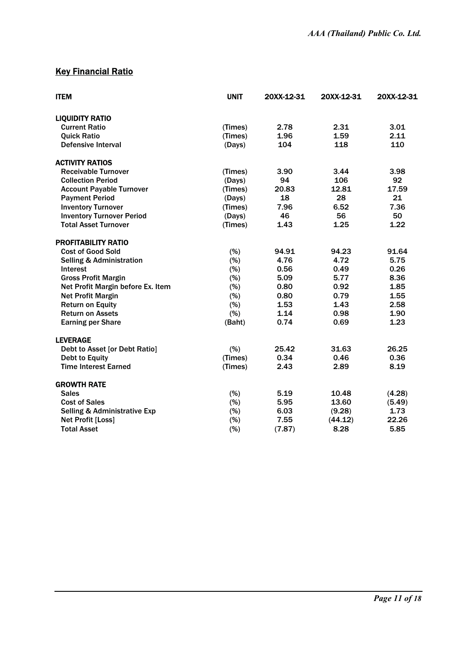## **Key Financial Ratio**

| <b>ITEM</b>                             | <b>UNIT</b> | 20XX-12-31 | 20XX-12-31 | 20XX-12-31 |
|-----------------------------------------|-------------|------------|------------|------------|
| <b>LIQUIDITY RATIO</b>                  |             |            |            |            |
| <b>Current Ratio</b>                    | (Times)     | 2.78       | 2.31       | 3.01       |
| <b>Quick Ratio</b>                      | (Times)     | 1.96       | 1.59       | 2.11       |
| <b>Defensive Interval</b>               | (Days)      | 104        | 118        | 110        |
| <b>ACTIVITY RATIOS</b>                  |             |            |            |            |
| <b>Receivable Turnover</b>              | (Times)     | 3.90       | 3.44       | 3.98       |
| <b>Collection Period</b>                | (Days)      | 94         | 106        | 92         |
| <b>Account Payable Turnover</b>         | (Times)     | 20.83      | 12.81      | 17.59      |
| <b>Payment Period</b>                   | (Days)      | 18         | 28         | 21         |
| <b>Inventory Turnover</b>               | (Times)     | 7.96       | 6.52       | 7.36       |
| <b>Inventory Turnover Period</b>        | (Days)      | 46         | 56         | 50         |
| <b>Total Asset Turnover</b>             | (Times)     | 1.43       | 1.25       | 1.22       |
| <b>PROFITABILITY RATIO</b>              |             |            |            |            |
| <b>Cost of Good Sold</b>                | (% )        | 94.91      | 94.23      | 91.64      |
| <b>Selling &amp; Administration</b>     | (% )        | 4.76       | 4.72       | 5.75       |
| <b>Interest</b>                         | (% )        | 0.56       | 0.49       | 0.26       |
| <b>Gross Profit Margin</b>              | (%)         | 5.09       | 5.77       | 8.36       |
| Net Profit Margin before Ex. Item       | (%)         | 0.80       | 0.92       | 1.85       |
| <b>Net Profit Margin</b>                | (%)         | 0.80       | 0.79       | 1.55       |
| <b>Return on Equity</b>                 | (% )        | 1.53       | 1.43       | 2.58       |
| <b>Return on Assets</b>                 | (% )        | 1.14       | 0.98       | 1.90       |
| <b>Earning per Share</b>                | (Baht)      | 0.74       | 0.69       | 1.23       |
| <b>LEVERAGE</b>                         |             |            |            |            |
| Debt to Asset [or Debt Ratio]           | (% )        | 25.42      | 31.63      | 26.25      |
| <b>Debt to Equity</b>                   | (Times)     | 0.34       | 0.46       | 0.36       |
| <b>Time Interest Earned</b>             | (Times)     | 2.43       | 2.89       | 8.19       |
| <b>GROWTH RATE</b>                      |             |            |            |            |
| <b>Sales</b>                            | (% )        | 5.19       | 10.48      | (4.28)     |
| <b>Cost of Sales</b>                    | (%)         | 5.95       | 13.60      | (5.49)     |
| <b>Selling &amp; Administrative Exp</b> | $(\%)$      | 6.03       | (9.28)     | 1.73       |
| Net Profit [Loss]                       | (%)         | 7.55       | (44.12)    | 22.26      |
| <b>Total Asset</b>                      | (%)         | (7.87)     | 8.28       | 5.85       |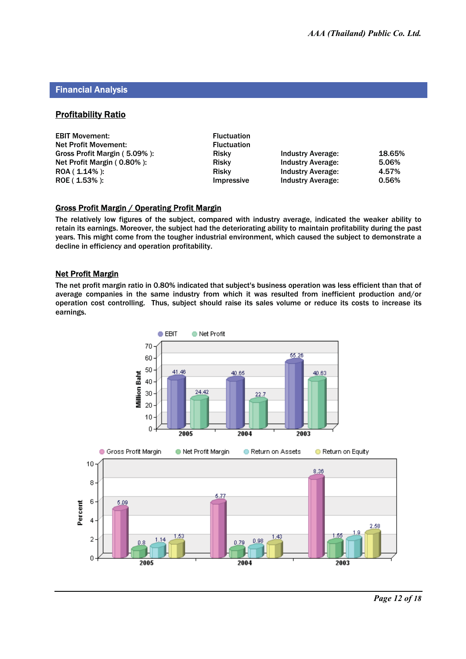#### Financial Analysis

#### **Profitability Ratio**

| <b>EBIT Movement:</b><br><b>Net Profit Movement:</b> | <b>Fluctuation</b><br><b>Fluctuation</b> |                          |        |
|------------------------------------------------------|------------------------------------------|--------------------------|--------|
| Gross Profit Margin (5.09%):                         | Risky                                    | <b>Industry Average:</b> | 18.65% |
| Net Profit Margin (0.80%):                           | <b>Risky</b>                             | <b>Industry Average:</b> | 5.06%  |
| $ROA (1.14\%)$ :                                     | Risky                                    | <b>Industry Average:</b> | 4.57%  |
| $ROE(1.53\%)$ :                                      | Impressive                               | <b>Industry Average:</b> | 0.56%  |

#### Gross Profit Margin / Operating Profit Margin

The relatively low figures of the subject, compared with industry average, indicated the weaker ability to retain its earnings. Moreover, the subject had the deteriorating ability to maintain profitability during the past years. This might come from the tougher industrial environment, which caused the subject to demonstrate a decline in efficiency and operation profitability.

#### Net Profit Margin

The net profit margin ratio in 0.80% indicated that subject's business operation was less efficient than that of average companies in the same industry from which it was resulted from inefficient production and/or operation cost controlling. Thus, subject should raise its sales volume or reduce its costs to increase its earnings.

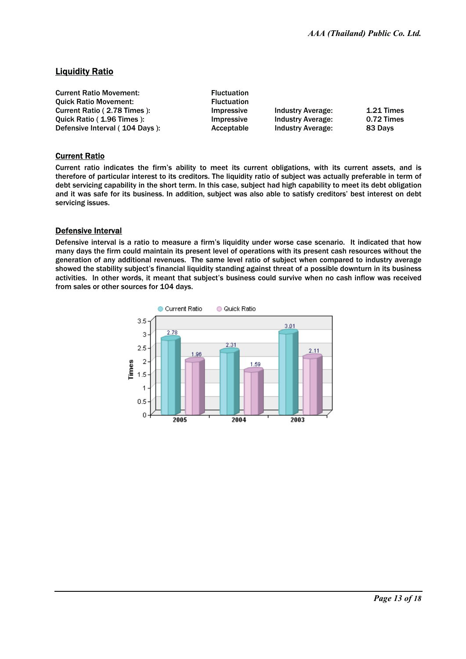## Liquidity Ratio

| <b>Current Ratio Movement:</b> | <b>Fluctuation</b> |                          |              |
|--------------------------------|--------------------|--------------------------|--------------|
| <b>Ouick Ratio Movement:</b>   | <b>Fluctuation</b> |                          |              |
| Current Ratio (2.78 Times):    | Impressive         | <b>Industry Average:</b> | $1.21$ Times |
| Ouick Ratio (1.96 Times):      | Impressive         | Industry Average:        | 0.72 Times   |
| Defensive Interval (104 Davs): | Acceptable         | <b>Industry Average:</b> | 83 Days      |

#### Current Ratio

Current ratio indicates the firm's ability to meet its current obligations, with its current assets, and is therefore of particular interest to its creditors. The liquidity ratio of subject was actually preferable in term of debt servicing capability in the short term. In this case, subject had high capability to meet its debt obligation and it was safe for its business. In addition, subject was also able to satisfy creditors' best interest on debt servicing issues.

#### Defensive Interval

Defensive interval is a ratio to measure a firm's liquidity under worse case scenario. It indicated that how many days the firm could maintain its present level of operations with its present cash resources without the generation of any additional revenues. The same level ratio of subject when compared to industry average showed the stability subject's financial liquidity standing against threat of a possible downturn in its business activities. In other words, it meant that subject's business could survive when no cash inflow was received from sales or other sources for 104 days.

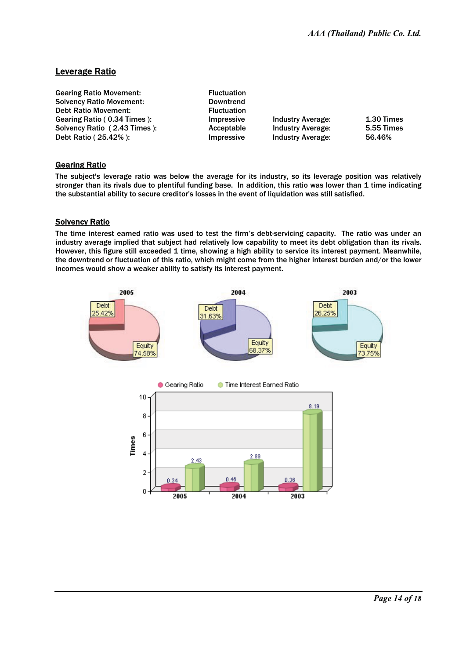## Leverage Ratio

| <b>Gearing Ratio Movement:</b>  | <b>Fluctuation</b> |                          |                   |
|---------------------------------|--------------------|--------------------------|-------------------|
| <b>Solvency Ratio Movement:</b> | <b>Downtrend</b>   |                          |                   |
| <b>Debt Ratio Movement:</b>     | <b>Fluctuation</b> |                          |                   |
| Gearing Ratio (0.34 Times):     | Impressive         | <b>Industry Average:</b> | $1.30$ Times      |
| Solvency Ratio (2.43 Times):    | Acceptable         | <b>Industry Average:</b> | <b>5.55 Times</b> |
| Debt Ratio (25.42%):            | Impressive         | <b>Industry Average:</b> | 56.46%            |

#### **Gearing Ratio**

The subject's leverage ratio was below the average for its industry, so its leverage position was relatively stronger than its rivals due to plentiful funding base. In addition, this ratio was lower than 1 time indicating the substantial ability to secure creditor's losses in the event of liquidation was still satisfied.

#### Solvency Ratio

The time interest earned ratio was used to test the firm's debt-servicing capacity. The ratio was under an industry average implied that subject had relatively low capability to meet its debt obligation than its rivals. However, this figure still exceeded 1 time, showing a high ability to service its interest payment. Meanwhile, the downtrend or fluctuation of this ratio, which might come from the higher interest burden and/or the lower incomes would show a weaker ability to satisfy its interest payment.

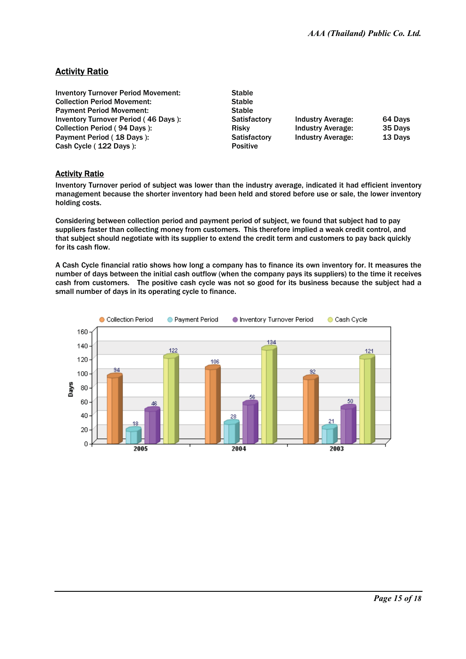## Activity Ratio

| <b>Inventory Turnover Period Movement:</b>  | <b>Stable</b>   |                          |         |
|---------------------------------------------|-----------------|--------------------------|---------|
| <b>Collection Period Movement:</b>          | <b>Stable</b>   |                          |         |
| <b>Payment Period Movement:</b>             | <b>Stable</b>   |                          |         |
| <b>Inventory Turnover Period (46 Days):</b> | Satisfactory    | <b>Industry Average:</b> | 64 Days |
| Collection Period (94 Days):                | <b>Risky</b>    | <b>Industry Average:</b> | 35 Days |
| Payment Period (18 Days):                   | Satisfactory    | <b>Industry Average:</b> | 13 Days |
| Cash Cycle (122 Days):                      | <b>Positive</b> |                          |         |

#### Activity Ratio

Inventory Turnover period of subject was lower than the industry average, indicated it had efficient inventory management because the shorter inventory had been held and stored before use or sale, the lower inventory holding costs.

Considering between collection period and payment period of subject, we found that subject had to pay suppliers faster than collecting money from customers. This therefore implied a weak credit control, and that subject should negotiate with its supplier to extend the credit term and customers to pay back quickly for its cash flow.

A Cash Cycle financial ratio shows how long a company has to finance its own inventory for. It measures the number of days between the initial cash outflow (when the company pays its suppliers) to the time it receives cash from customers. The positive cash cycle was not so good for its business because the subject had a small number of days in its operating cycle to finance.

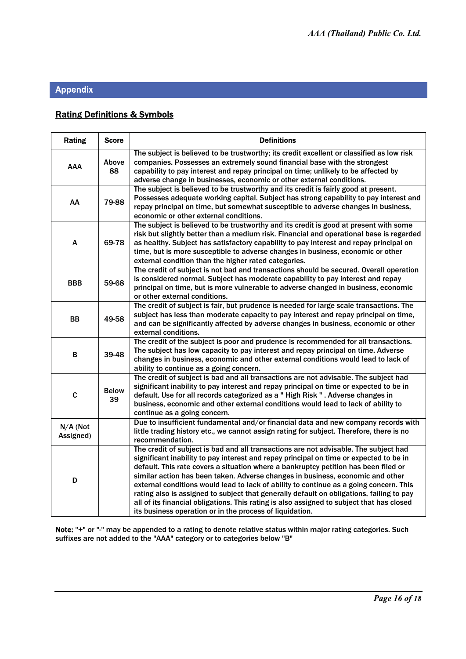## Appendix

## Rating Definitions & Symbols

| Rating                | <b>Score</b>       | <b>Definitions</b>                                                                                                                                                                                                                                                                                                                                                                                                                                                                                                                                                                                                                                                                                     |
|-----------------------|--------------------|--------------------------------------------------------------------------------------------------------------------------------------------------------------------------------------------------------------------------------------------------------------------------------------------------------------------------------------------------------------------------------------------------------------------------------------------------------------------------------------------------------------------------------------------------------------------------------------------------------------------------------------------------------------------------------------------------------|
| <b>AAA</b>            | Above<br>88        | The subject is believed to be trustworthy; its credit excellent or classified as low risk<br>companies. Possesses an extremely sound financial base with the strongest<br>capability to pay interest and repay principal on time; unlikely to be affected by<br>adverse change in businesses, economic or other external conditions.                                                                                                                                                                                                                                                                                                                                                                   |
| AA                    | 79-88              | The subject is believed to be trustworthy and its credit is fairly good at present.<br>Possesses adequate working capital. Subject has strong capability to pay interest and<br>repay principal on time, but somewhat susceptible to adverse changes in business,<br>economic or other external conditions.                                                                                                                                                                                                                                                                                                                                                                                            |
| A                     | 69-78              | The subject is believed to be trustworthy and its credit is good at present with some<br>risk but slightly better than a medium risk. Financial and operational base is regarded<br>as healthy. Subject has satisfactory capability to pay interest and repay principal on<br>time, but is more susceptible to adverse changes in business, economic or other<br>external condition than the higher rated categories.                                                                                                                                                                                                                                                                                  |
| <b>BBB</b>            | 59-68              | The credit of subject is not bad and transactions should be secured. Overall operation<br>is considered normal. Subject has moderate capability to pay interest and repay<br>principal on time, but is more vulnerable to adverse changed in business, economic<br>or other external conditions.                                                                                                                                                                                                                                                                                                                                                                                                       |
| BB                    | 49-58              | The credit of subject is fair, but prudence is needed for large scale transactions. The<br>subject has less than moderate capacity to pay interest and repay principal on time,<br>and can be significantly affected by adverse changes in business, economic or other<br>external conditions.                                                                                                                                                                                                                                                                                                                                                                                                         |
| в                     | 39-48              | The credit of the subject is poor and prudence is recommended for all transactions.<br>The subject has low capacity to pay interest and repay principal on time. Adverse<br>changes in business, economic and other external conditions would lead to lack of<br>ability to continue as a going concern.                                                                                                                                                                                                                                                                                                                                                                                               |
| $\mathbf C$           | <b>Below</b><br>39 | The credit of subject is bad and all transactions are not advisable. The subject had<br>significant inability to pay interest and repay principal on time or expected to be in<br>default. Use for all records categorized as a "High Risk ". Adverse changes in<br>business, economic and other external conditions would lead to lack of ability to<br>continue as a going concern.                                                                                                                                                                                                                                                                                                                  |
| N/A (Not<br>Assigned) |                    | Due to insufficient fundamental and/or financial data and new company records with<br>little trading history etc., we cannot assign rating for subject. Therefore, there is no<br>recommendation.                                                                                                                                                                                                                                                                                                                                                                                                                                                                                                      |
| D                     |                    | The credit of subject is bad and all transactions are not advisable. The subject had<br>significant inability to pay interest and repay principal on time or expected to be in<br>default. This rate covers a situation where a bankruptcy petition has been filed or<br>similar action has been taken. Adverse changes in business, economic and other<br>external conditions would lead to lack of ability to continue as a going concern. This<br>rating also is assigned to subject that generally default on obligations, failing to pay<br>all of its financial obligations. This rating is also assigned to subject that has closed<br>its business operation or in the process of liquidation. |

Note: "+" or "-" may be appended to a rating to denote relative status within major rating categories. Such suffixes are not added to the "AAA" category or to categories below "B"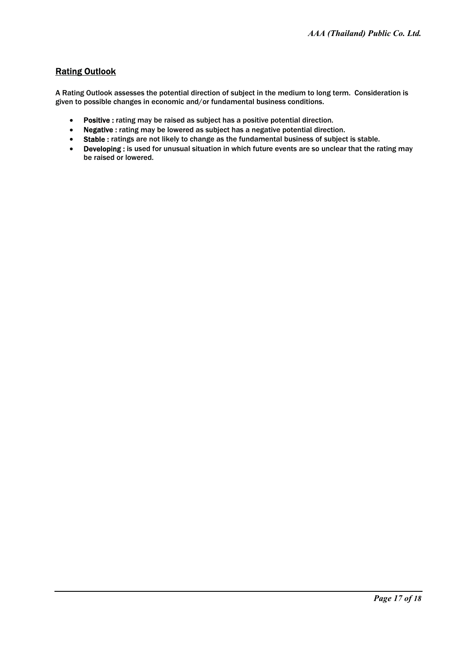## Rating Outlook

A Rating Outlook assesses the potential direction of subject in the medium to long term. Consideration is given to possible changes in economic and/or fundamental business conditions.

- $\bullet$ Positive : rating may be raised as subject has a positive potential direction.
- Negative : rating may be lowered as subject has a negative potential direction.
- Stable : ratings are not likely to change as the fundamental business of subject is stable.
- $\bullet$ Developing : is used for unusual situation in which future events are so unclear that the rating may be raised or lowered.